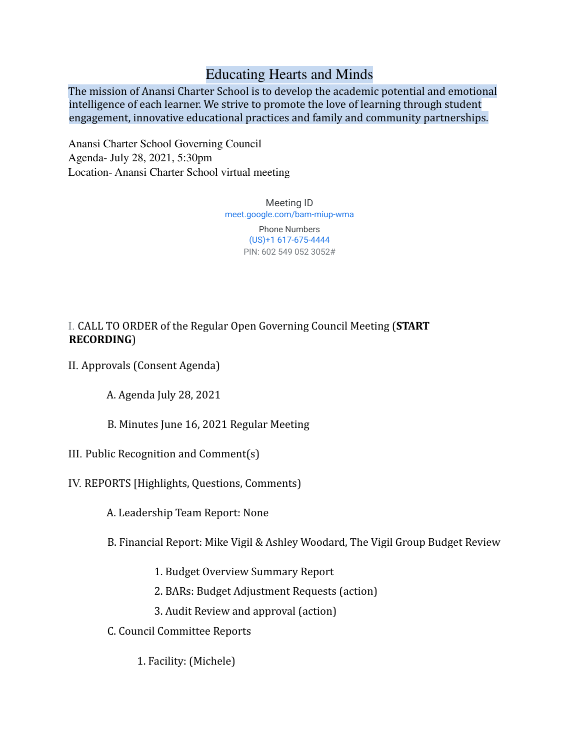# Educating Hearts and Minds

The mission of Anansi Charter School is to develop the academic potential and emotional intelligence of each learner. We strive to promote the love of learning through student engagement, innovative educational practices and family and community partnerships.

Anansi Charter School Governing Council Agenda- July 28, 2021, 5:30pm Location- Anansi Charter School virtual meeting

> Meeting ID [meet.google.com/bam-miup-wma](https://meet.google.com/bam-miup-wma?hs=122&authuser=0)

> > Phone Numbers (US)+1 617-675-4444 PIN: 602 549 052 3052#

## I. CALL TO ORDER of the Regular Open Governing Council Meeting (**START RECORDING**)

II. Approvals (Consent Agenda)

A. Agenda July 28, 2021

B. Minutes June 16, 2021 Regular Meeting

- III. Public Recognition and Comment(s)
- IV. REPORTS [Highlights, Questions, Comments)

A. Leadership Team Report: None

B. Financial Report: Mike Vigil & Ashley Woodard, The Vigil Group Budget Review

- 1. Budget Overview Summary Report
- 2. BARs: Budget Adjustment Requests (action)
- 3. Audit Review and approval (action)
- C. Council Committee Reports
	- 1. Facility: (Michele)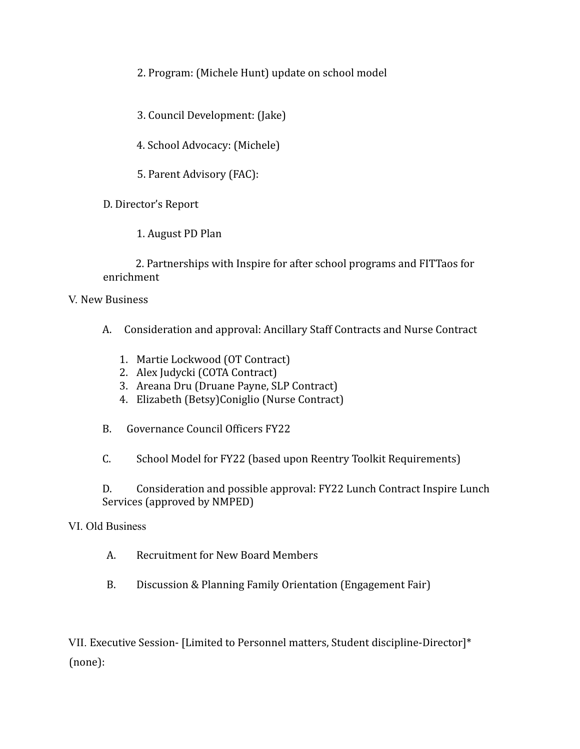2. Program: (Michele Hunt) update on school model

3. Council Development: (Jake)

4. School Advocacy: (Michele)

5. Parent Advisory (FAC):

D. Director's Report

1. August PD Plan

2. Partnerships with Inspire for after school programs and FITTaos for enrichment

V. New Business

- A. Consideration and approval: Ancillary Staff Contracts and Nurse Contract
	- 1. Martie Lockwood (OT Contract)
	- 2. Alex Judycki (COTA Contract)
	- 3. Areana Dru (Druane Payne, SLP Contract)
	- 4. Elizabeth (Betsy)Coniglio (Nurse Contract)
- B. Governance Council Officers FY22

C. School Model for FY22 (based upon Reentry Toolkit Requirements)

D. Consideration and possible approval: FY22 Lunch Contract Inspire Lunch Services (approved by NMPED)

#### VI. Old Business

- A. Recruitment for New Board Members
- B. Discussion & Planning Family Orientation (Engagement Fair)

VII. Executive Session- [Limited to Personnel matters, Student discipline-Director]\* (none):